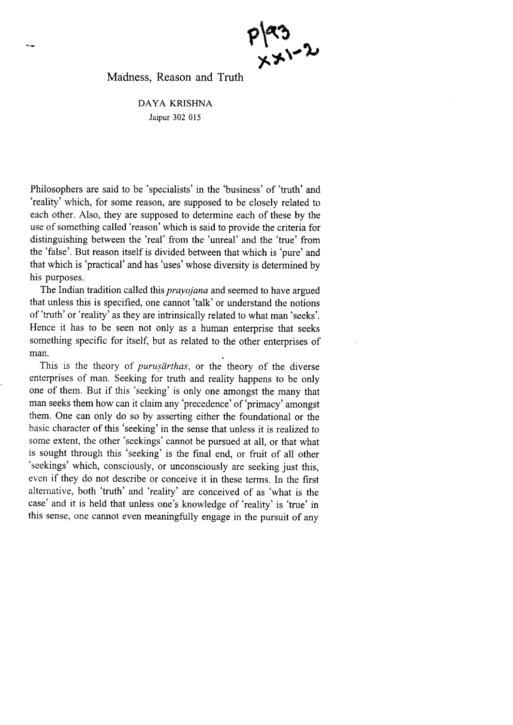$P$ <br> $x x - 2$ <br>Madness, Reason and Truth

DAYA KRISHNA Jaipur 302 015

Philosophers are said to be 'specialists' in the 'business' of 'truth' and 'reality' which, for some reason, are supposed to be closely related to each other. Also, they are supposed to determine each of these by the use of something called 'reason' which is said to provide the criteria for distinguishing between the 'real' from the 'unreal' and the 'true' from the 'false'. But reason itself is divided between that which is 'pure' and that which is 'practical' and has 'uses'whose diversity is determined by his purposes.

The Indian tradition called this *prayojana* and seemed to have argued that unless this is specified, one cannot 'talk' or understand the notions of 'tmth' or 'reality' as they are intrinsically related to what man 'seeks'. Hence it has to be seen not only as a human enterprise that seeks something specific for itself, but as related to the other enterprises of man.

This is the theory of *purusārthas*, or the theory of the diverse enterprises of man. Seeking for truth and reality happens to be only one of them. But if this 'seeking' is only one amongst the many that man seeks them how can it claim any 'precedence' of 'primacy' amongst them. One can only do so by asserting either the foundational or the basic character of this 'seeking' in the sense that unless it is realized to some extent, the other 'seekings' cannot be pursued at all, or that what is sought through this 'seeking' is the final end, or fruit of all other 'seekings' which, consciously, or unconsciously are seeking just this, even if they do not describe or conceive it in these terms. In the first alternative, both 'truth' and 'reality' are conceived of as 'what is the case' and it is held that unless one's knowledge of 'reality' is 'true' in this sense, one cannot even meaningfully engage in the pursuit of any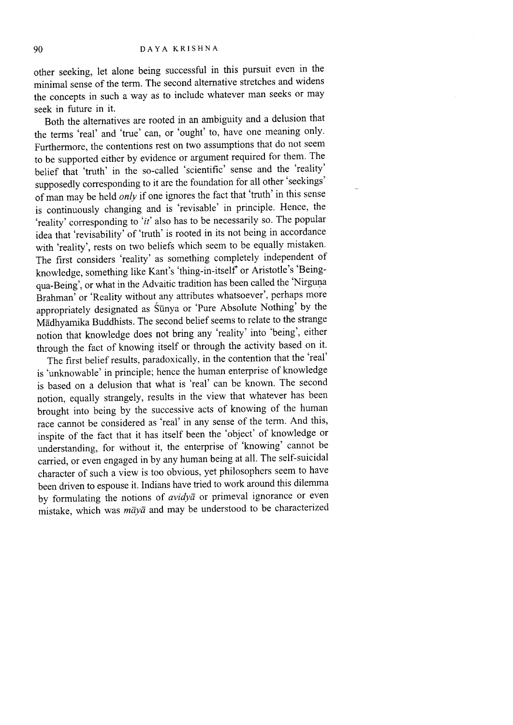other seeking, let alone being successful in this pursuit even in the minimal sense of the term. The second alternative stretches and widens the concepts in such a way as to include whatever man seeks or may seek in future in it.

Both the alternatives are rooted in an ambiguity and a delusion that the terms 'real' and 'true' can, or 'ought' to, have one meaning only. Furthermore, the contentions rest on two assumptions that do not seem to be supported either by evidence or argument required for them. The belief that 'truth' in the so-called 'scientific' sense and the 'reality' supposedly corresponding to it are the foundation for all other 'seekings' of man may be held *only* if one ignores the fact that 'truth' in this sense is continuously changing and is 'revisable' in principle. Hence, the 'reality' corresponding to 'it' also has to be necessarily so. The popular idea that 'revisability' of 'truth' is rooted in its not being in accordance with 'reality', rests on two beliefs which seem to be equally mistaken. The first considers 'reality' as something completely independent of knowledge, something like Kant's 'thing-in-itself' or Aristotle's 'Beingqua-Being', or what in the Advaitic tradition has been called the 'Nirguna Brahman' or 'Reality without any attributes whatsoever', perhaps more Brahman of Realty Malest any anti-collection Madhyamita Buddhists. The second belief seems to relate to the strange notion that knowledge does not bring any 'reality' into 'being" either through the fact of knowing itself or through the activity based on it.

The first belief results, paradoxically, in the contention that the 'real' is 'unknowable' in principle; hence the human enterprise of knowledge is based on a delusion that what is 'real' can be known. The second notion, equally strangely, results in the view that whatever has been brought into being by the successive acts of knowing of the human race cannot be considered as 'real' in any sense of the term. And this, inspite of the fact that it has itself been the 'object' of knowledge or understanding, for without it, the enterprise of 'knowing' cannot be carried, or even engaged in by any human being at all. The self-suicidal character of such a view is too obvious, yet philosophers seem to have been driven to espouse it. Indians have tried to work around this dilemma by formulating the notions of  $\frac{av \cdot d}{v \cdot a}$  or primeval ignorance or even mistake, which was  $m\bar{a}y\bar{a}$  and may be understood to be characterized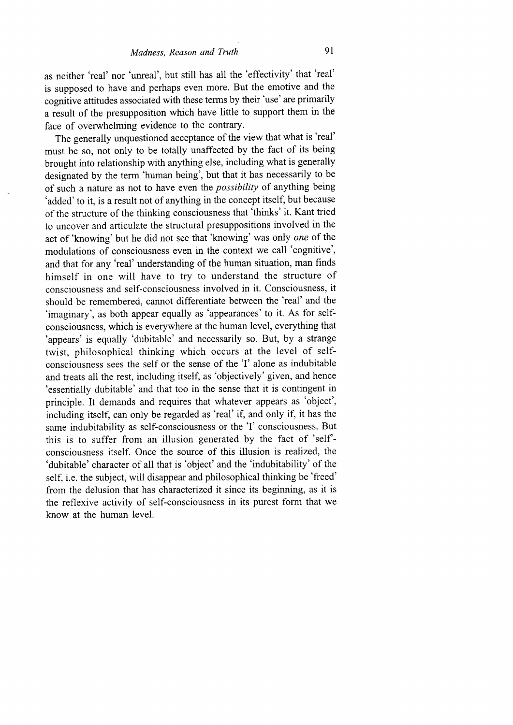as neither 'real' nor 'unreal', but still has all the 'effectivity' that 'real' is supposed to have and perhaps even more. But the emotive and the cognitive attitudes associated with these terms by their 'use' are primarily a result of the presupposition which have little to support them in the face of overwhelming evidence to the contrary.

The generally unquestioned acceptance of the view that what is 'real' must be so, not only to be totally unaffected by the fact of its being brought into relationship with anything else, including what is generally designated by the term 'human being', but that it has necessarily to be of such a nature as not to have even the possibility of anything being 'added' to it, is a result not of anything in the concept itself, but because of the structure of the thinking consciousness that 'thinks' it. Kant tried to uncover and articulate the structural presuppositions involved in the act of 'knowing' but he did not see that 'knowing' was only one of the modulations of consciousness even in the context we call 'cognitive', and that for any 'real' understanding of the human situation, man finds himself in one will have to try to understand the structure of consciousness and self-consciousness involved in it. Consciousness, it should be remembered, cannot differentiate between the 'real' and the 'imaginary', as both appear equally as 'appearances'to it. As for selfconsciousness, which is everywhere at the human level, everything that 'appears' is equally 'dubitable' and necessarily so. But, by a strange twist, philosophical thinking which occurs at the level of selfconsciousness sees the self or the sense of the 'I' alone as indubitable and treats all the rest, including itself, as 'objectively' given, and hence 'essentially dubitable' and that too in the sense that it is contingent in principle. It demands and requires that whatever appears as 'object', including itself, can only be regarded as 'real' if, and only if, it has the same indubitability as self-consciousness or the 'I' consciousness. But this is to suffer from an illusion generated by the fact of 'selfconsciousness itself. Once the source of this illusion is realized, the 'dubitable' character of all that is 'object' and the 'indubitability' of the self, i.e. the subject, will disappear and philosophical thinking be 'freed' from the delusion that has characterized it since its beginning, as it is the reflexive activity of self-consciousness in its purest form that we know at the human level.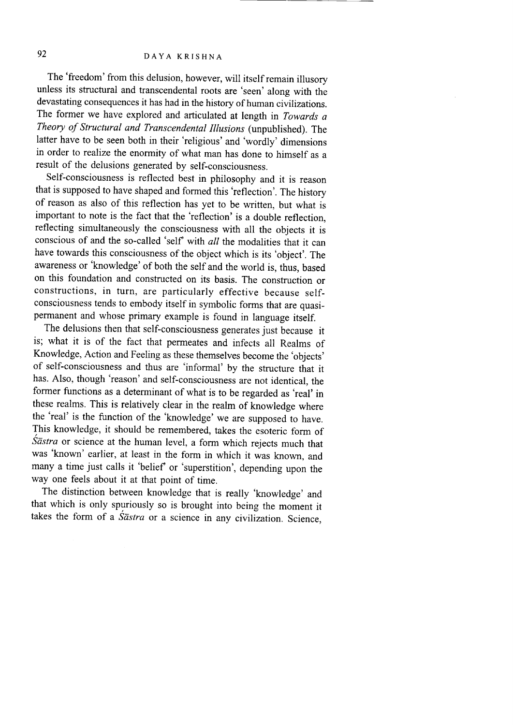## 92 DAYA KRISHNA

The 'freedom' from this delusion, however, will itself remain illusory unless its structural and transcendental roots are 'seen' along with the devastating consequences it has had in the history of human civilizations. The former we have explored and articulated at length in Towards a Theory of structural and Transcendental lllusions (unpublished). The latter have to be seen both in their 'religious' and 'wordly' dimensions in order to realize the enormity of what man has done to himself as a result of the delusions generated by self-consciousness.

Self-consciousness is reflected best in philosophy and it is reason that is supposed to have shaped and formed this'reflection'. The history of reason as also of this reflection has yet to be written, but what is important to note is the fact that the 'reflection' is a double reflection, reflecting simultaneously the consciousness with all the objects it is conscious of and the so-called 'self' with all the modalities that it can have towards this consciousness of the object which is its'object'. The awareness or 'knowledge' of both the self and the world is, thus, based on this foundation and constructed on its basis. The construction or constructions, in turn, are particularly effective because selfconsciousness tends to embody itself in symbolic forms that are quasipermanent and whose primary example is found in language itself.

The delusions then that self-consciousness generates just because it is; what it is of the fact that permeates and infects all Realms of Knowledge, Action and Feeling as these themselves become the 'objects' of self-consciousness and thus are 'informal' by the structure that it has. Also, though 'reason'and self-consciousness are not identical, the former functions as a determinant of what is to be regarded as 'real' in these realms. This is relatively clear in the realm of knowledge where the 'real' is the function of the 'knowledge' we are supposed to have. This knowledge, it should be remembered, takes the esoteric form of  $S\bar{a}$ stra or science at the human level, a form which rejects much that was 'known' earlier, at least in the form in which it was known, and many a time just calls it 'belief' or 'superstition', depending upon the way one feels about it at that point of time.

The distinction between knowledge that is reaily 'knowledge' and that which is only spuriously so is brought into being the moment it takes the form of a  $\dot{S}\bar{a}$ stra or a science in any civilization. Science,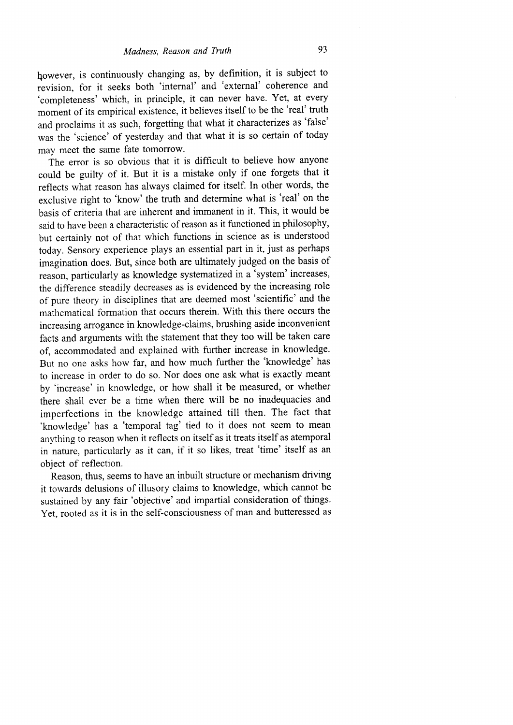however, is continuously changing as, by definition, it is subject to revision, for it seeks both 'internal' and 'external' coherence and 'completeness' which, in principle, it can never have. Yet, at every moment of its empirical existence, it believes itself to be the 'real' truth and proclaims it as such, forgetting that what it characterizes as 'false' was the 'science' of yesterday and that what it is so certain of today may meet the same fate tomorrow.

The error is so obvious that it is difficult to believe how anyone could be guilty of it. But it is a mistake only if one forgets that it reflects what reason has always claimed for itself. In other words, the exclusive right to 'know' the truth and determine what is 'real' on the basis of criteria that are inherent and immanent in it. This, it would be said to have been a characteristic of reason as it functioned in philosophy, but certainly not of that which functions in science as is understood today. Sensory experience plays an essential part in it, just as perhaps imagination does. But, since both are ultimately judged on the basis of reason, particularly as knowledge systematized in a 'system' increases, the difference steadily decreases as is evidenced by the increasing role of pure theory in disciplines that are deemed most 'scientific' and the mathematical formation that occurs therein. With this there occurs the increasing arrogance in knowledge-claims, brushing aside inconvenient facts and arguments with the statement that they too will be taken care of, accommodated and explained with further increase in knowledge. But no one asks how far, and how much further the 'knowledge' has to increase in order to do so. Nor does one ask what is exactly meant by 'increase' in knowledge, or how shall it be measured, or whether there shall ever be a time when there will be no inadequacies and imperfections in the knowledge attained till then. The fact that 'knowledge' has a 'temporal tag' tied to it does not seem to mean any'thing to reason when it reflects on itself as it treats itself as atemporal in nature, particularly as it can, if it so likes, treat 'time' itself as an object of reflection.

Reason, thus, seems to have an inbuilt structure or mechanism driving it towards delusions of illusory claims to knowledge, which cannot be sustained by any fair 'objective' and impartial consideration of things. Yet, rooted as it is in the self-consciousness of man and butteressed as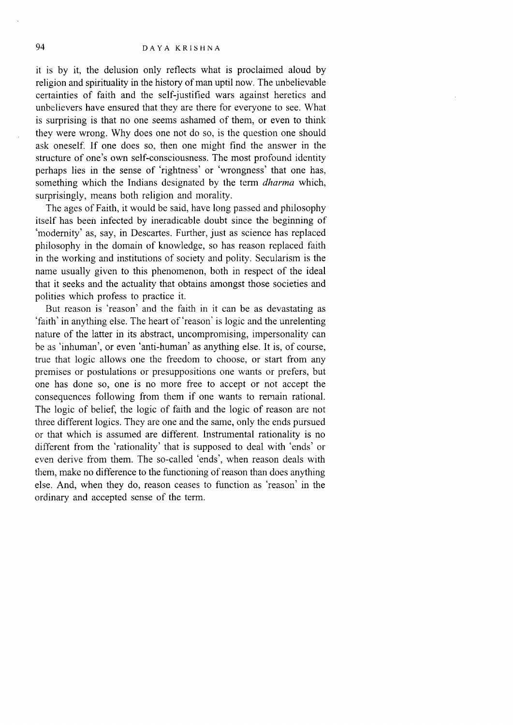it is by it, the delusion only reflects what is proclaimed aloud by religion and spirituality in the history of man uptil now. The unbelievable certainties of faith and the self-justified wars against heretics and unbelievers have ensured that they are there for everyone to see. What is surprising is that no one seems ashamed of them, or even to think they were wrong. Why does one not do so, is the question one should ask oneself. If one does so, then one might find the answer in the structure of one's own self-consciousness. The most profound identity perhaps lies in the sense of 'rightness' or 'wrongness' that one has, something which the Indians designated by the term dharma which, surprisingly, means both religion and morality.

The ages of Faith, it would be said, have long passed and philosophy itself has been infected by ineradicable doubt since the beginning of 'rnodernity' as, say, in Descartes. Further, just as science has replaced phiiosophy in the domain of knowledge, so has reason replaced faith in the working and institutions of society and polity. Secularism is the name usually given to this phenomenon, both in respect of the ideal that it seeks and the actuality that obtains amongst those societies and polities which profess to practice it.

But reason is 'reason' and the faith in it can be as devastating as 'faith' in anything else. The heart of 'reason' is logic and the unrelenting nafure of the latter in its abstract, uncompromising, impersonality can be as 'inhuman', or even 'anti-human' as anything else. It is, of course, true that logic allows one the freedom to choose, or start from any premises or postulations or presuppositions one wants or prefers, but one has done so, one is no more free to accept or not accept the consequences following from them if one wants to renain rational. The logic of belief, the logic of faith and the logic of reason are not three different logics. They are one and the same, only the ends pursued or that which is assumed are different. Instrumental rationality is no different from the 'rationality' that is supposed to deal with 'ends' or even derive from them. The so-called 'ends', when reason deals with them, make no difference to the functioning of reason than does anything else. And, when they do, reason ceases to function as 'reason' in the ordinary and accepted sense of the term.

94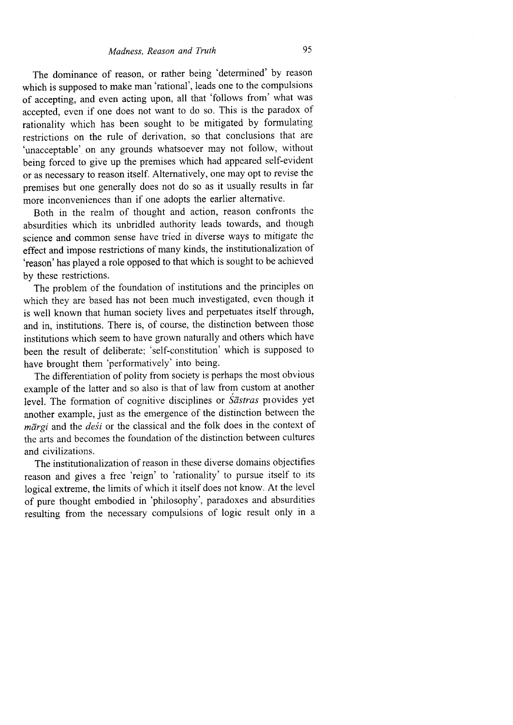The dominance of reason, or rather being 'determined' by reason which is supposed to make man'rational', leads one to the compulsions of accepting, and even acting upon, all that 'follows from' what was accepted, even if one does not want to do so. This is the paradox of rationality which has been sought to be mitigated by formuiating restrictions on the rule of derivation, so that conclusions that are 'unacceptable' on any grounds whatsoever may not follow, without being forced to give up the premises which had appeared self-evident or as necessary to reason itself. Alternatively, one may opt to revise the premises but one generally does not do so as it usually results in far more inconveniences than if one adopts the earlier alternative.

Both in the realm of thought and action, reason confronts the absurdities which its unbridled authority leads towards, and though science and common sense have tried in diverse ways to mitigate the effect and impose restrictions of many kinds, the institutionalization of 'reason' has played a role opposed to that which is sought to be achieved by these restrictions.

The problem of the foundation of institutions and the principles on which they are based has not been much investigated, even though it is well known that human society lives and perpetuates itself through, and in, institutions. There is, of course, the distinction between those institutions which seem to have grown naturally and others which have been the result of deliberate; 'self-constitution' which is supposed to have brought them 'performatively' into being.

The differentiation of polity from society is perhaps the most obvious example of the latter and so also is that of law from custom at another level. The formation of cognitive disciplines or  $\hat{S}$ *astras* provides yet another example, just as the emergence of the distinction between the  $m\bar{a}r\bar{g}i$  and the *desi* or the classical and the folk does in the context of the arts and becomes the foundation of the distinction between cultures and civilizations.

The institutionalization of reason in these diverse domains objectifies reason and gives a free 'reign' to 'rationality' to pursue itself to its logical extreme, the limits of which it itself does not know. At the level of pure thought embodied in 'philosophy', paradoxes and absurdities resulting from the necessary compulsions of logic result only in a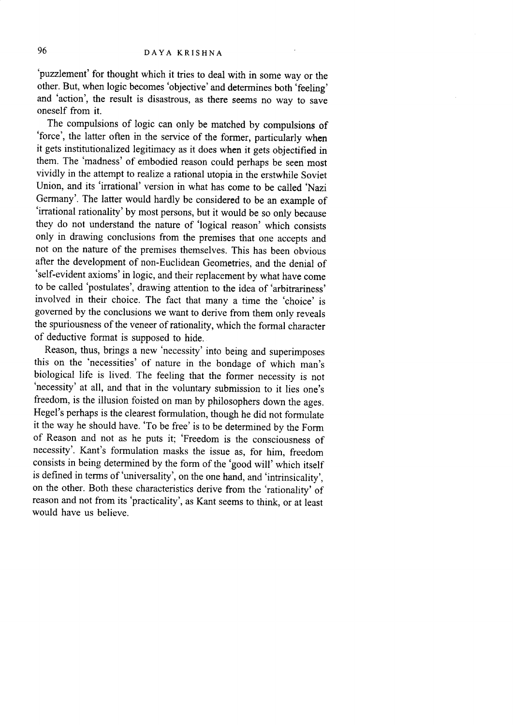'puzzlement' for thought which it tries to deal with in some way or the other. But, when logic becomes 'objective'and determines both'feeling' and 'action', the result is disastrous, as there seems no way to save oneself from it.

The compulsions of logic can only be matched by compulsions of 'force', the latter often in the service of the former, particularly when it gets institutionalized legitimacy as it does when it gets objectified in them. The 'madness' of embodied reason could perhaps be seen most vividly in the attempt to realize a rational utopia in the erstwhile Soviet Union, and its 'irrational' version in what has come to be called 'Nazi Germany'. The latter would hardly be considered to be an example of 'irrational rationality' by most persons, but it would be so only because they do not understand the nature of 'logical reason' which consists only in drawing conclusions from the premises that one accepts and not on the nature of the premises themselves. This has been obvious 'self-evident axioms' in logic, and their replacement by what have come to be called 'postulates', drawing attention to the idea of 'arbitrariness' involved in their choice. The fact that many a time the 'choice' is governed by the conclusions we want to derive from them only reveals the spuriousness of the veneer of rationality, which the formal character of deductive format is supposed to hide.

Reason, thus, brings a new 'necessity' into being and superimposes this on the 'necessities' of nature in the bondage of which man's biological life is lived. The feeling that the former necessity is not 'necessity' at all, and that in the voluntary submission to it lies one's freedom, is the illusion foisted on man by philosophers down the ages. Hegel's perhaps is the clearest formulation, though he did not formulate it the way he should have. 'To be free'is to be determined by the Form of Reason and not as he puts it; 'Freedom is the consciousness of necessity'. Kant's formulation masks the issue as, for him, freedom consists in being determined by the form of the 'good will' which itself is defined in terms of 'universalify', on the one hand, and 'intrinsicality', on the other. Both these characteristics derive from the 'rationality' of reason and not from its 'practicality', as Kant seems to think, or at least would have us believe.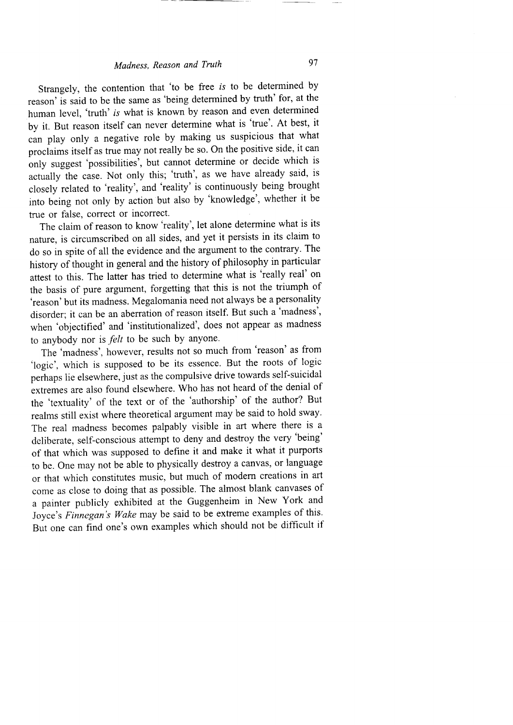Strangely, the contention that 'to be free is to be determined by reason' is said to be the same as 'being determined by truth' for, at the human level, 'truth' is what is known by reason and even determined by it. But reason itself can never determine what is 'true'. At best, it can play only a negative role by making us suspicious that what proclaims itself as true may not really be so. On the positive side, it can only suggest 'possibilities', but cannot determine or decide which is actually the case. Not only this; 'truth', as we have already said, is closely related to 'reality', and 'reality' is continuously being brought into being not only by action but also by 'knowledge', whether it be true or false, correct or incorrect.

The claim of reason to know 'reality', let alone determine what is its nature, is circumscribed on all sides, and yet it persists in its claim to do so in spite of all the evidence and the argument to the contrary. The history of thought in general and the history of philosophy in particular attest to this. The latter has tried to determine what is 'really real' on the basis of pure argument, forgetting that this is not the triumph of 'reason'but its madness. Megalomania need not always be a personality disorder; it can be an aberration of reason itself. But such a 'madness', when 'objectified' and 'institutionalized', does not appear as madness to anybody nor is felt to be such by anyone.

The 'madness', however, results not so much from 'reason' as from 'logic', which is supposed to be its essence. But the roots of logic perhaps lie elsewhere, just as the compulsive drive towards self-suicidal extremes are also found elsewhere. Who has not heard of the denial of the 'textuality' of the text or of the 'authorship' of the author? But realms still exist where theoretical argument may be said to hold sway. The real madness becomes palpably visible in art where there is a deliberate, self-conscious attempt to deny and destroy the very 'being' of that which was supposed to define it and make it what it purports to be. One may not be able to physically destroy a canvas, or language or that which constitutes music, but much of modem creations in art come as close to doing that as possible. The almost blank canvases of a painter publicly exhibited at the Guggenheim in New York and Joyce's Finnegan's Wake may be said to be extreme examples of this. But one can find one's own examples which should not be difficult if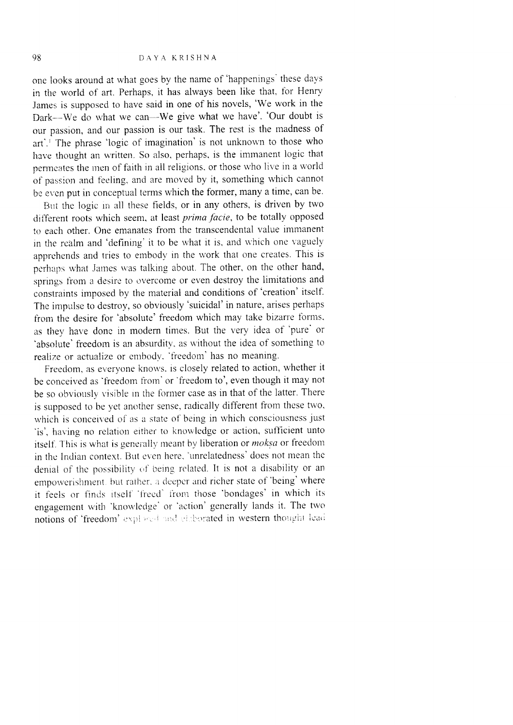one looks around at what goes by the name of 'happenings' these days in the world of art. Perhaps, it has always been like that, for Henry James is supposed to have said in one of his novels, 'We work in the Dark—We do what we can—We give what we have'. 'Our doubt is our passion, and our passion is our task. The rest is the madness of art.<sup>1</sup> The phrase 'logic of imagination' is not unknown to those who have thought an written. So also, perhaps, is the immanent logic that nermeates the men of faith in all religions, or those who live in a world of passion and feeling, and are moved by it, something which cannot be even put in conceptual terms which the former, many a time, can be.

But the logic in all these fields, or in any others, is driven by two different roots which seem, at least *prima facie*, to be totally opposed to each other. One emanates from the transcendental value immanent in the realm and 'defining' it to be what it is, and which one vaguely apprehends and tries to embody in the work that one creates. This is perhaps what James was talking about. The other, on the other hand, springs from a desire to overcome or even destroy the limitations and constraints imposed by the material and conditions of 'creation' itself. The impulse to destroy, so obviously 'suicidal' in nature, arises perhaps from the desire for 'absolute' freedom which may take bizarre forms, as they have done in modern times. But the very idea of 'pure' or 'absolute' freedom is an absurdity, as without the idea of something to realize or actualize or embody. 'freedom' has no meaning.

Freedom, as everyone knows, is closely related to action, whether it be conceived as 'freedom from' or 'freedom to', even though it may not be so obviously visible in the former case as in that of the latter. There is supposed to be yet another sense, radically different from these two, which is conceived of as a state of being in which consciousness just 'is', having no relation either to knowledge or action, sufficient unto itself. This is what is generally meant by liberation or *moksa* or freedom in the Indian context. But even here, 'unrelatedness' does not mean the denial of the possibility of being related. It is not a disability or an empowerishment, but rather, a deeper and richer state of 'being' where it feels or finds itself 'freed' from those 'bondages' in which its engagement with 'knowledge' or 'action' generally lands it. The two notions of 'freedom' explored and elaborated in western thought lead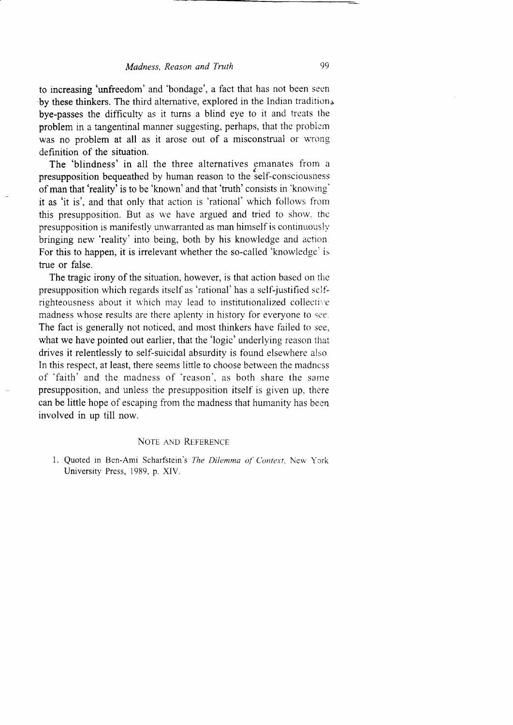to increasing 'unfreedom' and 'bondage', a fact that has not been seen by these thinkers. The third alternative, explored in the Indian tradition. bye-passes the difficulty as it turns a blind eye to it and treats the problem in a tangentinal manner suggesting, perhaps, that the problem was no problem at all as it arose out of a misconstrual or wrong definition of the situation.

The 'blindness' in all the three alternatives emanates from a presupposition bequeathed by human reason to the self-consciousness of man that 'reality' is to be 'known' and that 'truth' consists in 'knowing' it as 'it is', and that only that action is 'rational' which follows from this presupposition. But as we have argued and tried to show, the presupposition is manifestly unwarranted as man himself is continuously bringing new 'reality' into being, both by his knowledge and action. For this to happen, it is inelevant whether the so-called 'knowledge' is true or false.

The tragic irony of the situation, however, is that action based on the presupposition which regards itself as 'rational' has a self-justified selfrighteousness about it which may lead to institutionalized collective madness whose results are there aplenty in history for everyone to see. The fact is generally not noticed, and most thinkers have failed to see, what we have pointed out earlier, that the 'logic' underlying reason that drives it relentlessly to self-suicidal absurdity is found elsewhere aiso In this respect, at least, there seems little to choose between the madness of 'faith' and the madness of 'reason'. as both share the same presupposition, and unless the presupposition itself is given up, there can be little hope of escaping from the madness that hurnanity has been involved in up till now.

## NOTE AND REFERENCE

1. Quoted in Ben-Ami Scharfstein's The Dilemma of Context, New York University Press, i989, p. XIV.